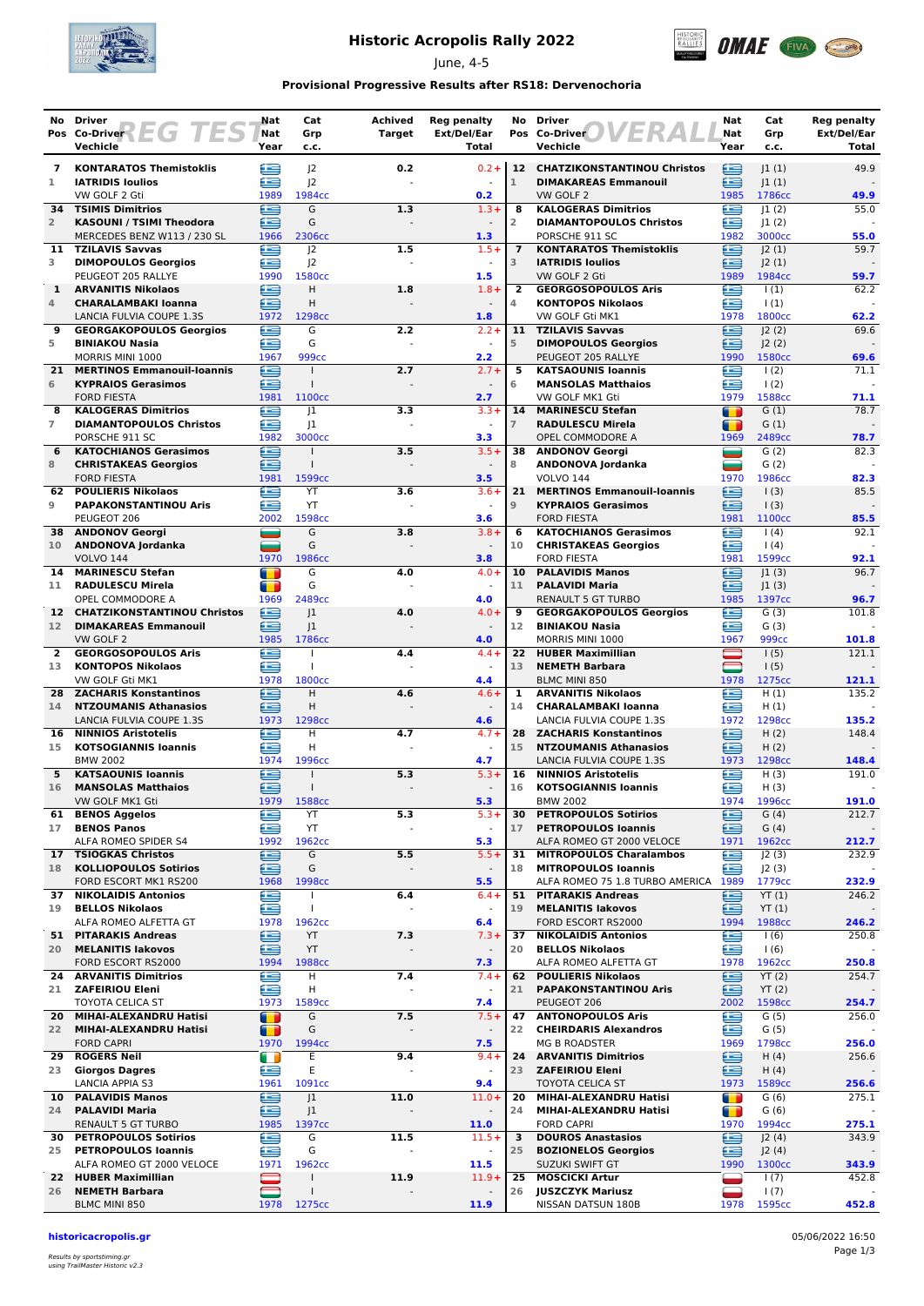

# **Historic Acropolis Rally 2022**

June, 4-5



### **Provisional Progressive Results after RS18: Dervenochoria**

| No                 | Driver                                                    | Nat                | Cat                      | <b>Achived</b> | <b>Reg penalty</b>                  | No                  | <b>Driver</b><br>ER                                                | Nat                          | Cat                        | <b>Reg penalty</b>   |
|--------------------|-----------------------------------------------------------|--------------------|--------------------------|----------------|-------------------------------------|---------------------|--------------------------------------------------------------------|------------------------------|----------------------------|----------------------|
|                    | Pos Co-Driver LG TES<br>Vechicle                          | Nat<br>Year        | Grp<br>c.c.              | <b>Target</b>  | Ext/Del/Ear<br>Total                |                     | Pos Co-Driver<br>Vechicle                                          | Nat<br>Year                  | Grp<br>c.c.                | Ext/Del/Ear<br>Total |
| $\mathbf{z}$       | <b>KONTARATOS Themistoklis</b>                            | ≘                  | $ 2\rangle$              | 0.2            | $0.2 +$                             |                     | 12 CHATZIKONSTANTINOU Christos                                     | ఆ                            | 1(1)                       | 49.9                 |
| 1                  | <b>IATRIDIS Ioulios</b>                                   | æ                  | 2                        |                |                                     | $\mathbf{1}$        | <b>DIMAKAREAS Emmanouil</b>                                        | £                            | 1(1)                       |                      |
| 34                 | VW GOLF 2 Gti<br><b>TSIMIS Dimitrios</b>                  | 1989<br>≘          | 1984cc<br>G              | 1.3            | 0.2<br>$1.3 +$                      | 8                   | VW GOLF 2<br><b>KALOGERAS Dimitrios</b>                            | 1985<br>€                    | 1786cc<br> 1(2)            | 49.9<br>55.0         |
| $\overline{2}$     | <b>KASOUNI / TSIMI Theodora</b>                           | œ                  | G                        |                | $\sim$                              | $\overline{2}$      | <b>DIAMANTOPOULOS Christos</b>                                     | £                            | 1(2)                       |                      |
|                    | MERCEDES BENZ W113 / 230 SL<br>11 TZILAVIS Savvas         | 1966<br>œ          | 2306cc                   |                | 1.3<br>$1.5+$                       | $\overline{7}$      | PORSCHE 911 SC<br><b>KONTARATOS Themistoklis</b>                   | 1982<br>œ                    | 3000cc                     | 55.0<br>59.7         |
| 3                  | <b>DIMOPOULOS Georgios</b>                                | œ                  | 2<br>J <sup>2</sup>      | 1.5            | $\blacksquare$                      | 3                   | <b>IATRIDIS Ioulios</b>                                            | £                            | J2(1)<br>J2(1)             |                      |
|                    | PEUGEOT 205 RALLYE                                        | 1990               | 1580 <sub>cc</sub>       |                | 1.5                                 |                     | VW GOLF 2 Gti                                                      | 1989                         | 1984cc                     | 59.7                 |
| $\mathbf{1}$<br>4  | <b>ARVANITIS Nikolaos</b><br><b>CHARALAMBAKI Ioanna</b>   | ≘<br>Œ             | H<br>H                   | 1.8            | $1.8 +$<br>$\blacksquare$           | $\overline{2}$<br>4 | <b>GEORGOSOPOULOS Aris</b><br><b>KONTOPOS Nikolaos</b>             | £<br>€                       | 1(1)<br>$\vert$ (1)        | 62.2                 |
|                    | LANCIA FULVIA COUPE 1.3S                                  | 1972               | 1298cc                   |                | 1.8                                 |                     | VW GOLF Gti MK1                                                    | 1978                         | 1800cc                     | 62.2                 |
| 9<br>5             | <b>GEORGAKOPOULOS Georgios</b>                            | œ<br>æ             | G<br>G                   | 2.2            | $2.2 +$<br>$\omega$                 | 5                   | 11 TZILAVIS Savvas                                                 | £<br>£                       | 2(2)                       | 69.6                 |
|                    | <b>BINIAKOU Nasia</b><br>MORRIS MINI 1000                 | 1967               | 999cc                    |                | 2.2                                 |                     | <b>DIMOPOULOS Georgios</b><br>PEUGEOT 205 RALLYE                   | 1990                         | J2(2)<br>1580cc            | 69.6                 |
| 21                 | <b>MERTINOS Emmanouil-Ioannis</b>                         | œ                  | $\mathbf{I}$             | 2.7            | $2.7 +$                             | 5                   | <b>KATSAOUNIS Ioannis</b>                                          | £                            | $\frac{1(2)}{2}$           | 71.1                 |
| 6                  | <b>KYPRAIOS Gerasimos</b><br><b>FORD FIESTA</b>           | ∈<br>1981          | 1100 <sub>cc</sub>       |                | 2.7                                 | 6                   | <b>MANSOLAS Matthaios</b><br>VW GOLF MK1 Gti                       | £<br>1979                    | $\frac{1(2)}{2}$<br>1588cc | 71.1                 |
| 8                  | <b>KALOGERAS Dimitrios</b>                                | ≘                  | 1                        | 3.3            | $3.3 +$                             | 14                  | <b>MARINESCU Stefan</b>                                            | т                            | G(1)                       | 78.7                 |
| $\overline{7}$     | <b>DIAMANTOPOULOS Christos</b>                            | œ                  | 1                        |                |                                     | $\overline{7}$      | <b>RADULESCU Mirela</b>                                            | П                            | G(1)                       |                      |
| 6                  | PORSCHE 911 SC<br><b>KATOCHIANOS Gerasimos</b>            | 1982<br>e          | 3000cc<br>$\mathbf{I}$   | 3.5            | 3.3<br>$3.5+$                       |                     | OPEL COMMODORE A<br>38 ANDONOV Georgi                              | 1969<br>▄                    | 2489cc<br>G(2)             | 78.7<br>82.3         |
| 8                  | <b>CHRISTAKEAS Georgios</b>                               | æ                  | $\mathbf{I}$             |                | $\blacksquare$                      | 8                   | ANDONOVA Jordanka                                                  | ▄                            | G(2)                       |                      |
|                    | <b>FORD FIESTA</b>                                        | 1981               | 1599cc                   |                | 3.5                                 |                     | <b>VOLVO 144</b>                                                   | 1970                         | 1986cc                     | 82.3                 |
| 9                  | 62 POULIERIS Nikolaos<br><b>PAPAKONSTANTINOU Aris</b>     | Œ<br>œ             | YT<br>YT                 | 3.6            | $3.6+$                              | 21<br>9             | <b>MERTINOS Emmanouil-Ioannis</b><br><b>KYPRAIOS Gerasimos</b>     | £<br>£                       | $\vert$ (3)<br>1(3)        | 85.5                 |
|                    | PEUGEOT 206                                               | 2002               | 1598cc                   |                | 3.6                                 |                     | <b>FORD FIESTA</b>                                                 | 1981                         | 1100cc                     | 85.5                 |
| 38                 | <b>ANDONOV Georgi</b>                                     |                    | G                        | 3.8            | $3.8 +$                             | 6                   | <b>KATOCHIANOS Gerasimos</b>                                       | æ                            | (4)                        | 92.1                 |
| 10 <sup>°</sup>    | ANDONOVA Jordanka<br><b>VOLVO 144</b>                     | ═<br>1970          | G<br>1986cc              |                | $\blacksquare$<br>3.8               | 10                  | <b>CHRISTAKEAS Georgios</b><br><b>FORD FIESTA</b>                  | £<br>1981                    | (4)<br>1599cc              | 92.1                 |
| 14                 | <b>MARINESCU Stefan</b>                                   | T                  | G                        | 4.0            | $4.0 +$                             |                     | 10 PALAVIDIS Manos                                                 | £                            | 1(3)                       | 96.7                 |
| 11                 | <b>RADULESCU Mirela</b>                                   | T                  | G                        |                |                                     | 11                  | <b>PALAVIDI Maria</b>                                              | ∈                            | 1(3)                       |                      |
| 12 <sup>7</sup>    | OPEL COMMODORE A<br><b>CHATZIKONSTANTINOU Christos</b>    | 1969<br>≘          | 2489cc<br> 1             | 4.0            | 4.0<br>$4.0 +$                      | 9                   | <b>RENAULT 5 GT TURBO</b><br><b>GEORGAKOPOULOS Georgios</b>        | 1985<br>£                    | 1397cc<br>G(3)             | 96.7<br>101.8        |
| 12 <sup>2</sup>    | <b>DIMAKAREAS Emmanouil</b>                               | £                  | 1                        |                |                                     | 12                  | <b>BINIAKOU Nasia</b>                                              | £                            | G(3)                       |                      |
|                    | VW GOLF 2                                                 | 1985               | 1786cc                   |                | 4.0                                 |                     | MORRIS MINI 1000                                                   | 1967                         | 999 <sub>cc</sub>          | 101.8                |
| $\mathbf{2}$<br>13 | <b>GEORGOSOPOULOS Aris</b><br><b>KONTOPOS Nikolaos</b>    | £<br>£             | $\overline{1}$           | 4.4            | $4.4 +$                             | 22<br>13            | <b>HUBER Maximillian</b><br><b>NEMETH Barbara</b>                  | $\qquad \qquad \blacksquare$ | 1(5)                       | 121.1                |
|                    | VW GOLF Gti MK1                                           | 1978               | 1800 <sub>cc</sub>       |                | 4.4                                 |                     | <b>BLMC MINI 850</b>                                               | 1978                         | 1(5)<br>1275cc             | 121.1                |
| 28                 | <b>ZACHARIS Konstantinos</b>                              | ≘                  | Н                        | 4.6            | $4.6 +$                             | 1                   | <b>ARVANITIS Nikolaos</b>                                          | œ                            | H(1)                       | 135.2                |
| 14                 | <b>NTZOUMANIS Athanasios</b><br>LANCIA FULVIA COUPE 1.3S  | €<br>1973          | H<br>1298 <sub>cc</sub>  |                | $\blacksquare$<br>4.6               | 14                  | <b>CHARALAMBAKI Ioanna</b><br>LANCIA FULVIA COUPE 1.3S             | ∈<br>1972                    | H(1)<br>1298cc             | 135.2                |
| 16                 | <b>NINNIOS Aristotelis</b>                                | œ                  | н                        | 4.7            | $4.7 +$                             | 28                  | <b>ZACHARIS Konstantinos</b>                                       | £                            | H(2)                       | 148.4                |
| 15                 | <b>KOTSOGIANNIS loannis</b>                               | æ                  | н                        |                |                                     | 15                  | <b>NTZOUMANIS Athanasios</b>                                       | £                            | H(2)                       |                      |
| 5                  | <b>BMW 2002</b><br><b>KATSAOUNIS Ioannis</b>              | 1974<br>œ          | 1996cc                   | 5.3            | 4.7<br>$5.3+$                       | 16                  | LANCIA FULVIA COUPE 1.3S<br><b>NINNIOS Aristotelis</b>             | 1973<br>£                    | 1298cc<br>H(3)             | 148.4<br>191.0       |
| 16                 | <b>MANSOLAS Matthaios</b>                                 | ⋐                  | $\mathbf{I}$             |                | $\overline{\phantom{a}}$            | 16                  | <b>KOTSOGIANNIS Ioannis</b>                                        | ≘                            | H(3)                       |                      |
|                    | VW GOLF MK1 Gti                                           | 1979               | 1588cc                   |                | 5.3                                 |                     | <b>BMW 2002</b>                                                    | 1974                         | 1996cc                     | 191.0                |
| 61<br>17           | <b>BENOS Aggelos</b><br><b>BENOS Panos</b>                | e<br>€             | YT<br>YT                 | 5.3            | $5.3+$<br>$\blacksquare$            | 30<br>17            | <b>PETROPOULOS Sotirios</b><br><b>PETROPOULOS Ioannis</b>          | e<br>≘                       | G(4)<br>G(4)               | 212.7                |
|                    | ALFA ROMEO SPIDER S4                                      | 1992               | 1962cc                   |                | 5.3                                 |                     | ALFA ROMEO GT 2000 VELOCE                                          | 1971                         | 1962cc                     | 212.7                |
| 17                 | <b>TSIOGKAS Christos</b>                                  | e                  | G                        | 5.5            | $5.5+$                              | 31                  | <b>MITROPOULOS Charalambos</b>                                     | £                            | J2(3)                      | 232.9                |
| 18                 | <b>KOLLIOPOULOS Sotirios</b><br>FORD ESCORT MK1 RS200     | ≘<br>1968          | G<br>1998 <sub>cc</sub>  |                | $\blacksquare$<br>5.5               | 18                  | <b>MITROPOULOS Ioannis</b><br>ALFA ROMEO 75 1.8 TURBO AMERICA 1989 | ≘                            | J2(3)<br>1779cc            | 232.9                |
| 37                 | <b>NIKOLAIDIS Antonios</b>                                | G                  |                          | 6.4            | $6.4 +$                             | 51                  | <b>PITARAKIS Andreas</b>                                           | ∈                            | YT(1)                      | 246.2                |
| 19                 | <b>BELLOS Nikolaos</b>                                    | œ                  | $\mathbf{I}$             |                | $\blacksquare$                      | 19                  | <b>MELANITIS lakovos</b>                                           | ఆ                            | YT(1)                      |                      |
|                    | ALFA ROMEO ALFETTA GT<br>51 PITARAKIS Andreas             | 1978<br>€          | 1962cc<br>YT             | 7.3            | 6.4<br>$7.3+$                       | 37                  | FORD ESCORT RS2000<br><b>NIKOLAIDIS Antonios</b>                   | 1994<br>€                    | 1988cc<br>1(6)             | 246.2<br>250.8       |
| 20                 | <b>MELANITIS lakovos</b>                                  | $\bullet$          | YT                       |                | $\overline{\phantom{a}}$            | 20                  | <b>BELLOS Nikolaos</b>                                             | œ                            | 1(6)                       |                      |
|                    | FORD ESCORT RS2000                                        | 1994               | 1988cc                   |                | 7.3                                 |                     | ALFA ROMEO ALFETTA GT                                              | 1978                         | 1962cc                     | 250.8                |
| 24<br>21           | <b>ARVANITIS Dimitrios</b><br><b>ZAFEIRIOU Eleni</b>      | €<br>ē             | н<br>H                   | 7.4            | $7.4 +$                             | 62<br>21            | <b>POULIERIS Nikolaos</b><br><b>PAPAKONSTANTINOU Aris</b>          | £<br>⋴                       | YT(2)<br>YT(2)             | 254.7                |
|                    | TOYOTA CELICA ST                                          | 1973               | 1589 <sub>cc</sub>       |                | 7.4                                 |                     | PEUGEOT 206                                                        | 2002                         | 1598cc                     | 254.7                |
| 20                 | MIHAI-ALEXANDRU Hatisi                                    | т                  | G                        | 7.5            | $7.5+$                              | 47                  | <b>ANTONOPOULOS Aris</b>                                           | œ                            | G(5)                       | 256.0                |
| 22                 | MIHAI-ALEXANDRU Hatisi<br><b>FORD CAPRI</b>               | <b>TER</b><br>1970 | G<br>1994cc              |                | $\blacksquare$<br>7.5               | 22                  | <b>CHEIRDARIS Alexandros</b><br>MG B ROADSTER                      | £<br>1969                    | G(5)<br>1798cc             | 256.0                |
| 29                 | <b>ROGERS Neil</b>                                        | $\blacksquare$     | Ε                        | 9.4            | $9.4 +$                             |                     | 24 ARVANITIS Dimitrios                                             | ⊜                            | H(4)                       | 256.6                |
| 23                 | <b>Giorgos Dagres</b>                                     | e                  | Ε                        |                | $\blacksquare$                      | 23                  | <b>ZAFEIRIOU Eleni</b>                                             | ⊜                            | H(4)                       |                      |
| 10                 | <b>LANCIA APPIA S3</b><br><b>PALAVIDIS Manos</b>          | 1961<br>∈          | 1091cc<br>J <sub>1</sub> | 11.0           | 9.4<br>$11.0+$                      | 20                  | TOYOTA CELICA ST<br>MIHAI-ALEXANDRU Hatisi                         | 1973<br>$\blacksquare$       | 1589cc<br>G(6)             | 256.6<br>275.1       |
| 24                 | <b>PALAVIDI Maria</b>                                     | ≘                  | J <sub>1</sub>           |                |                                     | 24                  | MIHAI-ALEXANDRU Hatisi                                             | $\blacksquare$               | G(6)                       |                      |
|                    | <b>RENAULT 5 GT TURBO</b>                                 | 1985               | 1397cc                   |                | 11.0                                |                     | <b>FORD CAPRI</b>                                                  | 1970                         | 1994cc                     | 275.1                |
| 30<br>25           | <b>PETROPOULOS Sotirios</b><br><b>PETROPOULOS Ioannis</b> | e<br>≘             | G<br>G                   | 11.5           | $11.5+$<br>$\overline{\phantom{a}}$ | 3<br>25             | <b>DOUROS Anastasios</b><br><b>BOZIONELOS Georgios</b>             | ⊟<br>⊜                       | J2(4)<br>J2(4)             | 343.9                |
|                    | ALFA ROMEO GT 2000 VELOCE                                 | 1971               | 1962cc                   |                | 11.5                                |                     | SUZUKI SWIFT GT                                                    | 1990                         | 1300cc                     | 343.9                |
|                    | 22 HUBER Maximillian                                      |                    | $\mathbf{I}$             | 11.9           | $11.9+$                             | 25                  | <b>MOSCICKI Artur</b>                                              |                              | 1(7)                       | 452.8                |
| 26                 | <b>NEMETH Barbara</b><br>BLMC MINI 850                    | 1978               | 1275cc                   |                | 11.9                                | 26                  | <b>JUSZCZYK Mariusz</b><br>NISSAN DATSUN 180B                      | 1978                         | 1(7)<br>1595cc             | 452.8                |
|                    |                                                           |                    |                          |                |                                     |                     |                                                                    |                              |                            |                      |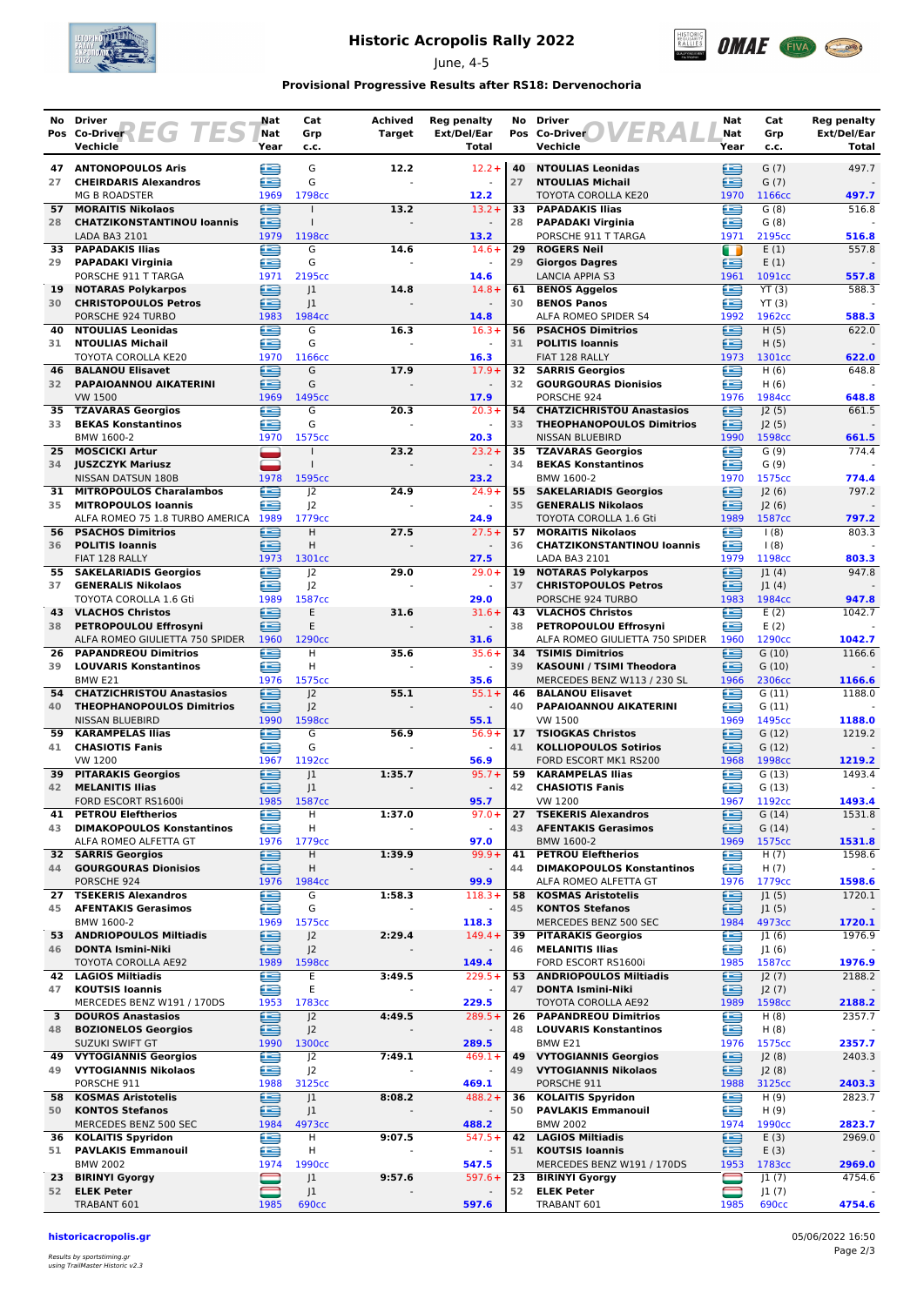

## **Historic Acropolis Rally 2022**

June, 4-5



#### **Provisional Progressive Results after RS18: Dervenochoria**

|          | No Driver<br>Pos Co-Driver $\left\{ \begin{array}{cc} \begin{array}{cc} \end{array} & \begin{array}{cc} \end{array} & \begin{array}{cc} \end{array} & \begin{array}{cc} \end{array} & \begin{array}{cc} \end{array} & \begin{array}{cc} \end{array} & \end{array} \end{array} \right\}$<br>Vechicle | Nat<br>Nat<br>Year               | Cat<br>Grp<br>c.c.                                       | <b>Achived</b><br><b>Target</b> | <b>Reg penalty</b><br>Ext/Del/Ear<br>Total    | No       | <b>Driver</b><br><b>/ER/</b><br>Pos Co-Driver<br>Vechicle                               | Nat<br>Nat<br>Year | Cat<br>Grp<br>c.c.             | <b>Reg penalty</b><br>Ext/Del/Ear<br>Total |
|----------|-----------------------------------------------------------------------------------------------------------------------------------------------------------------------------------------------------------------------------------------------------------------------------------------------------|----------------------------------|----------------------------------------------------------|---------------------------------|-----------------------------------------------|----------|-----------------------------------------------------------------------------------------|--------------------|--------------------------------|--------------------------------------------|
| 27       | <b>47 ANTONOPOULOS Aris</b><br><b>CHEIRDARIS Alexandros</b>                                                                                                                                                                                                                                         | ≘<br>æ                           | G<br>G                                                   | 12.2                            | $12.2 +$<br>$\sim$                            | 40<br>27 | <b>NTOULIAS Leonidas</b><br><b>NTOULIAS Michail</b>                                     | ∈<br>£             | G(7)<br>G(7)                   | 497.7                                      |
|          | <b>MG B ROADSTER</b><br>57 MORAITIS Nikolaos                                                                                                                                                                                                                                                        | 1969<br>€                        | 1798cc<br>$\mathbf{I}$                                   | 13.2                            | 12.2<br>$13.2 +$                              | 33       | TOYOTA COROLLA KE20<br><b>PAPADAKIS Ilias</b>                                           | 1970<br>⋐          | 1166cc<br>G(8)                 | 497.7<br>516.8                             |
| 28       | <b>CHATZIKONSTANTINOU loannis</b><br>LADA BA3 2101                                                                                                                                                                                                                                                  | ≘<br>1979<br>£                   | 1198cc<br>G                                              |                                 | $\omega$<br>13.2<br>$14.6+$                   | 28<br>29 | <b>PAPADAKI Virginia</b><br>PORSCHE 911 T TARGA<br><b>ROGERS Neil</b>                   | ≘<br>1971          | G(8)<br>2195cc                 | 516.8<br>557.8                             |
| 33<br>29 | <b>PAPADAKIS Ilias</b><br><b>PAPADAKI Virginia</b><br>PORSCHE 911 T TARGA                                                                                                                                                                                                                           | £<br>1971                        | G<br>2195 <sub>cc</sub>                                  | 14.6                            | 14.6                                          | 29       | <b>Giorgos Dagres</b><br>LANCIA APPIA S3                                                | O<br>⋐<br>1961     | E(1)<br>E(1)<br>1091cc         | 557.8                                      |
| 19<br>30 | <b>NOTARAS Polykarpos</b><br><b>CHRISTOPOULOS Petros</b>                                                                                                                                                                                                                                            | £<br>∈                           | 1<br> 1                                                  | 14.8                            | $14.8 +$<br>$\blacksquare$                    | 61<br>30 | <b>BENOS Aggelos</b><br><b>BENOS Panos</b>                                              | £<br>€             | YT(3)<br>YT(3)                 | 588.3                                      |
| 40       | PORSCHE 924 TURBO<br><b>NTOULIAS Leonidas</b>                                                                                                                                                                                                                                                       | 1983<br>œ                        | 1984cc<br>G                                              | 16.3                            | 14.8<br>$16.3+$                               | 56       | ALFA ROMEO SPIDER S4<br><b>PSACHOS Dimitrios</b>                                        | 1992<br>e          | 1962cc<br>H(5)                 | 588.3<br>622.0                             |
| 31       | <b>NTOULIAS Michail</b><br>TOYOTA COROLLA KE20                                                                                                                                                                                                                                                      | Æ<br>1970                        | G<br>1166 <sub>cc</sub>                                  |                                 | $\omega$<br>16.3                              | 31       | <b>POLITIS Ioannis</b><br>FIAT 128 RALLY                                                | £<br>1973          | H(5)<br>1301cc                 | 622.0                                      |
| 46<br>32 | <b>BALANOU Elisavet</b><br>PAPAIOANNOU AIKATERINI<br><b>VW 1500</b>                                                                                                                                                                                                                                 | £<br>e<br>1969                   | G<br>G<br>1495cc                                         | 17.9                            | $17.9+$<br>17.9                               | 32<br>32 | <b>SARRIS Georgios</b><br><b>GOURGOURAS Dionisios</b><br>PORSCHE 924                    | œ<br>œ<br>1976     | H(6)<br>H(6)<br>1984cc         | 648.8<br>648.8                             |
| 35<br>33 | <b>TZAVARAS Georgios</b><br><b>BEKAS Konstantinos</b>                                                                                                                                                                                                                                               | £<br>£                           | G<br>G                                                   | 20.3                            | $20.3 +$                                      | 54<br>33 | <b>CHATZICHRISTOU Anastasios</b><br><b>THEOPHANOPOULOS Dimitrios</b>                    | ≘<br>∈             | J2(5)<br>J2(5)                 | 661.5                                      |
| 25       | BMW 1600-2<br><b>MOSCICKI Artur</b>                                                                                                                                                                                                                                                                 | 1970<br>$\overline{\phantom{0}}$ | 1575cc                                                   | 23.2                            | 20.3<br>$23.2 +$                              | 35       | <b>NISSAN BLUEBIRD</b><br><b>TZAVARAS Georgios</b>                                      | 1990<br>œ          | 1598cc<br>G(9)                 | 661.5<br>774.4                             |
|          | 34 JUSZCZYK Mariusz<br>NISSAN DATSUN 180B                                                                                                                                                                                                                                                           | ▃<br>1978                        | 1595cc                                                   |                                 | $\omega$<br>23.2                              | 34       | <b>BEKAS Konstantinos</b><br>BMW 1600-2                                                 | £<br>1970          | G(9)<br>1575cc                 | 774.4                                      |
| 31<br>35 | <b>MITROPOULOS Charalambos</b><br><b>MITROPOULOS Ioannis</b>                                                                                                                                                                                                                                        | e<br>œ                           | J <sup>2</sup><br>J <sup>2</sup>                         | 24.9                            | $24.9+$<br>$\sim$                             | 55<br>35 | <b>SAKELARIADIS Georgios</b><br><b>GENERALIS Nikolaos</b>                               | €<br>≘             | J2(6)<br> 2(6)                 | 797.2                                      |
| 56<br>36 | ALFA ROMEO 75 1.8 TURBO AMERICA 1989<br><b>PSACHOS Dimitrios</b><br><b>POLITIS Ioannis</b>                                                                                                                                                                                                          | œ<br>≘                           | 1779cc<br>H<br>H                                         | 27.5                            | 24.9<br>$27.5+$                               | 57<br>36 | TOYOTA COROLLA 1.6 Gti<br><b>MORAITIS Nikolaos</b><br><b>CHATZIKONSTANTINOU loannis</b> | 1989<br>£<br>e     | 1587cc<br>(8)<br>(8)           | 797.2<br>803.3                             |
|          | FIAT 128 RALLY<br>55 SAKELARIADIS Georgios                                                                                                                                                                                                                                                          | 1973<br>e                        | 1301cc<br> 2                                             | 29.0                            | 27.5<br>$29.0+$                               | 19       | LADA BA3 2101<br><b>NOTARAS Polykarpos</b>                                              | 1979<br>∈          | 1198cc<br>J1(4)                | 803.3<br>947.8                             |
| 37       | <b>GENERALIS Nikolaos</b><br>TOYOTA COROLLA 1.6 Gti                                                                                                                                                                                                                                                 | Æ<br>1989                        | 2<br>1587cc                                              |                                 | $\omega$<br>29.0                              | 37       | <b>CHRISTOPOULOS Petros</b><br>PORSCHE 924 TURBO                                        | ≘<br>1983          | 1(4) <br>1984cc                | 947.8                                      |
| 43<br>38 | <b>VLACHOS Christos</b><br><b>PETROPOULOU Effrosyni</b>                                                                                                                                                                                                                                             | ∈<br>œ                           | E<br>Ε                                                   | 31.6                            | $31.6+$                                       | 43<br>38 | <b>VLACHOS Christos</b><br>PETROPOULOU Effrosyni                                        | €<br>æ             | E(2)<br>E(2)                   | 1042.7                                     |
| 26<br>39 | ALFA ROMEO GIULIETTA 750 SPIDER<br><b>PAPANDREOU Dimitrios</b><br><b>LOUVARIS Konstantinos</b>                                                                                                                                                                                                      | 1960<br>£<br>≘                   | 1290cc<br>H<br>H                                         | 35.6                            | 31.6<br>$35.6+$                               | 39       | ALFA ROMEO GIULIETTA 750 SPIDER<br>34 TSIMIS Dimitrios<br>KASOUNI / TSIMI Theodora      | 1960<br>œ<br>∈     | 1290cc<br>G(10)<br>G(10)       | 1042.7<br>1166.6                           |
| 54       | BMW E21<br><b>CHATZICHRISTOU Anastasios</b>                                                                                                                                                                                                                                                         | 1976<br>∈                        | 1575cc<br>J <sub>2</sub>                                 | 55.1                            | 35.6<br>$55.1+$                               | 46       | MERCEDES BENZ W113 / 230 SL<br><b>BALANOU Elisavet</b>                                  | 1966<br>£          | 2306cc<br>G(11)                | 1166.6<br>1188.0                           |
| 40       | <b>THEOPHANOPOULOS Dimitrios</b><br>NISSAN BLUEBIRD                                                                                                                                                                                                                                                 | ≘<br>1990                        | J <sup>2</sup><br>1598cc                                 |                                 | $\blacksquare$<br>55.1                        | 40       | PAPAIOANNOU AIKATERINI<br>VW 1500                                                       | ≘<br>1969          | G(11)<br>1495cc                | 1188.0                                     |
| 59<br>41 | <b>KARAMPELAS Ilias</b><br><b>CHASIOTIS Fanis</b>                                                                                                                                                                                                                                                   | ∈<br>æ                           | G<br>G                                                   | 56.9                            | $56.9+$<br>$\sim$                             | 41       | 17 TSIOGKAS Christos<br><b>KOLLIOPOULOS Sotirios</b>                                    | e<br>£             | G(12)<br>G(12)                 | 1219.2                                     |
| 39<br>42 | VW 1200<br><b>PITARAKIS Georgios</b>                                                                                                                                                                                                                                                                | 1967<br>Œ<br>£                   | 1192cc<br> 1                                             | 1:35.7                          | 56.9<br>$95.7 +$                              | 59<br>42 | FORD ESCORT MK1 RS200<br><b>KARAMPELAS Ilias</b>                                        | 1968<br>£          | 1998cc<br>G(13)                | 1219.2<br>1493.4                           |
| 41       | <b>MELANITIS Ilias</b><br>FORD ESCORT RS1600i<br><b>PETROU Eleftherios</b>                                                                                                                                                                                                                          | 1985<br>€                        | 1<br>1587cc<br>Н                                         | 1:37.0                          | 95.7<br>$97.0+$                               | 27       | <b>CHASIOTIS Fanis</b><br>VW 1200<br><b>TSEKERIS Alexandros</b>                         | ≘<br>1967<br>ఆ     | G(13)<br>1192cc<br>G(14)       | 1493.4<br>1531.8                           |
| 43       | <b>DIMAKOPOULOS Konstantinos</b><br>ALFA ROMEO ALFETTA GT                                                                                                                                                                                                                                           | e<br>1976                        | Н<br>1779cc                                              |                                 | $\blacksquare$<br>97.0                        | 43       | <b>AFENTAKIS Gerasimos</b><br>BMW 1600-2                                                | ∈<br>1969          | G(14)<br>1575cc                | 1531.8                                     |
| 44       | <b>32 SARRIS Georgios</b><br><b>GOURGOURAS Dionisios</b>                                                                                                                                                                                                                                            | G<br>ఆ                           | H<br>н                                                   | 1:39.9                          | $99.9+$                                       | 41<br>44 | <b>PETROU Eleftherios</b><br><b>DIMAKOPOULOS Konstantinos</b>                           | e<br>⋐             | H(7)<br>H(7)                   | 1598.6                                     |
| 27       | PORSCHE 924<br><b>TSEKERIS Alexandros</b>                                                                                                                                                                                                                                                           | 1976<br>œ                        | 1984cc<br>G                                              | 1:58.3                          | 99.9<br>$118.3+$                              | 58       | ALFA ROMEO ALFETTA GT<br><b>KOSMAS Aristotelis</b>                                      | 1976<br>∈          | 1779cc<br>J1(5)                | 1598.6<br>1720.1                           |
| 45<br>53 | <b>AFENTAKIS Gerasimos</b><br>BMW 1600-2<br><b>ANDRIOPOULOS Miltiadis</b>                                                                                                                                                                                                                           | £<br>1969<br>Œ                   | G<br>1575cc<br>J <sub>2</sub>                            | 2:29.4                          | $\omega$<br>118.3<br>$149.4 +$                | 45<br>39 | <b>KONTOS Stefanos</b><br>MERCEDES BENZ 500 SEC<br><b>PITARAKIS Georgios</b>            | ∈<br>1984<br>£     | J1(5)<br>4973cc<br>J1(6)       | 1720.1<br>1976.9                           |
| 46       | <b>DONTA Ismini-Niki</b><br>TOYOTA COROLLA AE92                                                                                                                                                                                                                                                     | ఆ<br>1989                        | J <sub>2</sub><br>1598cc                                 |                                 | 149.4                                         | 46       | <b>MELANITIS Ilias</b><br>FORD ESCORT RS1600i                                           | ∈<br>1985          | J1(6)<br>1587cc                | 1976.9                                     |
| 42<br>47 | <b>LAGIOS Miltiadis</b><br><b>KOUTSIS Ioannis</b>                                                                                                                                                                                                                                                   | €<br>€                           | E<br>E                                                   | 3:49.5                          | $229.5+$                                      | 53<br>47 | <b>ANDRIOPOULOS Miltiadis</b><br><b>DONTA Ismini-Niki</b>                               | ⊟<br>e             | J2(7)<br>J2(7)                 | 2188.2                                     |
| 3        | MERCEDES BENZ W191 / 170DS<br><b>DOUROS Anastasios</b>                                                                                                                                                                                                                                              | 1953<br>≘                        | 1783cc<br>J <sup>2</sup>                                 | 4:49.5                          | 229.5<br>$289.5+$                             | 26       | TOYOTA COROLLA AE92<br><b>PAPANDREOU Dimitrios</b>                                      | 1989<br>œ          | 1598cc<br>H(8)                 | 2188.2<br>2357.7                           |
| 48<br>49 | <b>BOZIONELOS Georgios</b><br>SUZUKI SWIFT GT<br><b>VYTOGIANNIS Georgios</b>                                                                                                                                                                                                                        | £<br>1990<br>e                   | J <sup>2</sup><br>1300 <sub>cc</sub><br>$\overline{J^2}$ | 7:49.1                          | $\overline{\phantom{a}}$<br>289.5<br>$469.1+$ | 48<br>49 | <b>LOUVARIS Konstantinos</b><br>BMW E21<br><b>VYTOGIANNIS Georgios</b>                  | e<br>1976<br>∈     | H(8)<br>1575cc<br>J2(8)        | 2357.7<br>2403.3                           |
| 49       | <b>VYTOGIANNIS Nikolaos</b><br>PORSCHE 911                                                                                                                                                                                                                                                          | ≘<br>1988                        | J <sub>2</sub><br>3125cc                                 |                                 | $\omega$<br>469.1                             | 49       | <b>VYTOGIANNIS Nikolaos</b><br>PORSCHE 911                                              | ≘<br>1988          | J2(8)<br>3125cc                | 2403.3                                     |
| 58<br>50 | <b>KOSMAS Aristotelis</b><br><b>KONTOS Stefanos</b>                                                                                                                                                                                                                                                 | e<br>≘                           | J <sub>1</sub><br>J <sub>1</sub>                         | 8:08.2                          | $488.2 +$<br>$\blacksquare$                   | 36<br>50 | <b>KOLAITIS Spyridon</b><br><b>PAVLAKIS Emmanouil</b>                                   | ∈<br>e             | H(9)<br>H(9)                   | 2823.7                                     |
| 36       | MERCEDES BENZ 500 SEC<br><b>KOLAITIS Spyridon</b>                                                                                                                                                                                                                                                   | 1984<br>€                        | 4973cc<br>н                                              | 9:07.5                          | 488.2<br>$547.5+$                             |          | <b>BMW 2002</b><br>42 LAGIOS Miltiadis                                                  | 1974<br>e          | 1990cc<br>E(3)                 | 2823.7<br>2969.0                           |
| 51       | <b>PAVLAKIS Emmanouil</b><br><b>BMW 2002</b>                                                                                                                                                                                                                                                        | ≘<br>1974                        | н<br>1990cc                                              |                                 | $\blacksquare$<br>547.5<br>$597.6+$           | 51<br>23 | <b>KOUTSIS Ioannis</b><br>MERCEDES BENZ W191 / 170DS<br><b>BIRINYI Gyorgy</b>           | ≘<br>1953          | E(3)<br>1783cc                 | 2969.0                                     |
| 23<br>52 | <b>BIRINYI Gyorgy</b><br><b>ELEK Peter</b><br>TRABANT 601                                                                                                                                                                                                                                           | 1985                             | J1<br>J <sub>1</sub><br><b>690cc</b>                     | 9:57.6                          | 597.6                                         | 52       | <b>ELEK Peter</b><br>TRABANT 601                                                        | ⊟<br>1985          | J1(7)<br>J1(7)<br><b>690cc</b> | 4754.6<br>4754.6                           |
|          |                                                                                                                                                                                                                                                                                                     |                                  |                                                          |                                 |                                               |          |                                                                                         |                    |                                |                                            |

**historicacropolis.gr** 05/06/2022 16:50

Results by sportstiming.gr using TrailMaster Historic v2.3